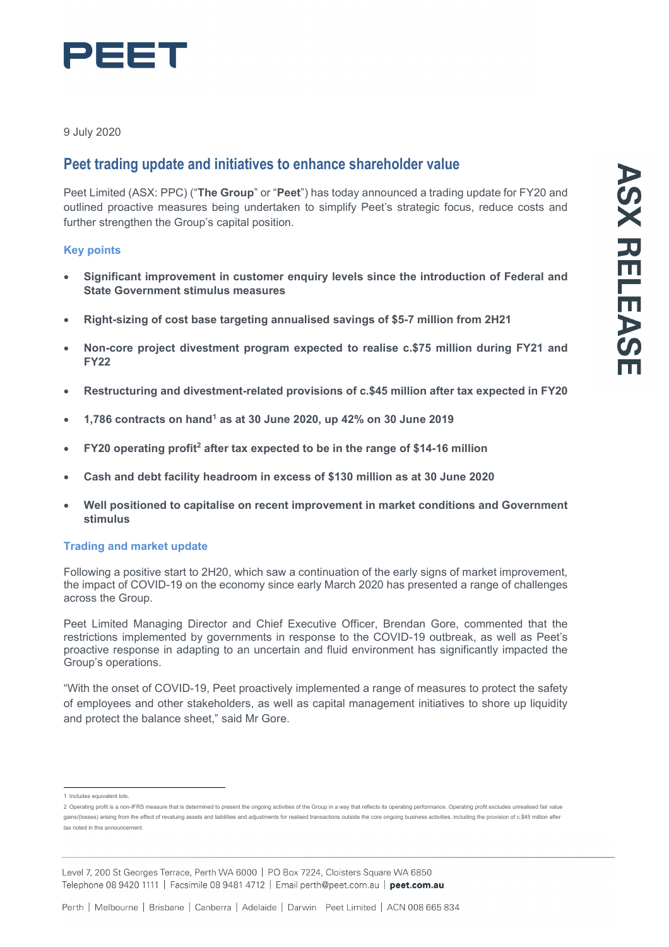

9 July 2020

# **Peet trading update and initiatives to enhance shareholder value**

Peet Limited (ASX: PPC) ("**The Group**" or "**Peet**") has today announced a trading update for FY20 and outlined proactive measures being undertaken to simplify Peet's strategic focus, reduce costs and further strengthen the Group's capital position.

## **Key points**

- **Significant improvement in customer enquiry levels since the introduction of Federal and State Government stimulus measures**
- **Right-sizing of cost base targeting annualised savings of \$5-7 million from 2H21**
- **Non-core project divestment program expected to realise c.\$75 million during FY21 and FY22**
- **Restructuring and divestment-related provisions of c.\$45 million after tax expected in FY20**
- **1,786 contracts on hand1 as at 30 June 2020, up 42% on 30 June 2019**
- **FY20 operating profit2 after tax expected to be in the range of \$14-16 million**
- **Cash and debt facility headroom in excess of \$130 million as at 30 June 2020**
- **Well positioned to capitalise on recent improvement in market conditions and Government stimulus**

## **Trading and market update**

Following a positive start to 2H20, which saw a continuation of the early signs of market improvement, the impact of COVID-19 on the economy since early March 2020 has presented a range of challenges across the Group.

Peet Limited Managing Director and Chief Executive Officer, Brendan Gore, commented that the restrictions implemented by governments in response to the COVID-19 outbreak, as well as Peet's proactive response in adapting to an uncertain and fluid environment has significantly impacted the Group's operations.

"With the onset of COVID-19, Peet proactively implemented a range of measures to protect the safety of employees and other stakeholders, as well as capital management initiatives to shore up liquidity and protect the balance sheet," said Mr Gore.

Level 7, 200 St Georges Terrace, Perth WA 6000 | PO Box 7224, Cloisters Square WA 6850 Telephone 08 9420 1111 | Facsimile 08 9481 4712 | Email perth@peet.com.au | peet.com.au

<sup>1</sup> Includes equivalent lots.

<sup>2</sup> Operating profit is a non-IFRS measure that is determined to present the ongoing activities of the Group in a way that reflects its operating performance. Operating profit excludes unrealised fair value gains/(losses) arising from the effect of revaluing assets and liabilities and adjustments for realised transactions outside the core ongoing business activities, including the provision of c.\$45 million after tax noted in this announcement.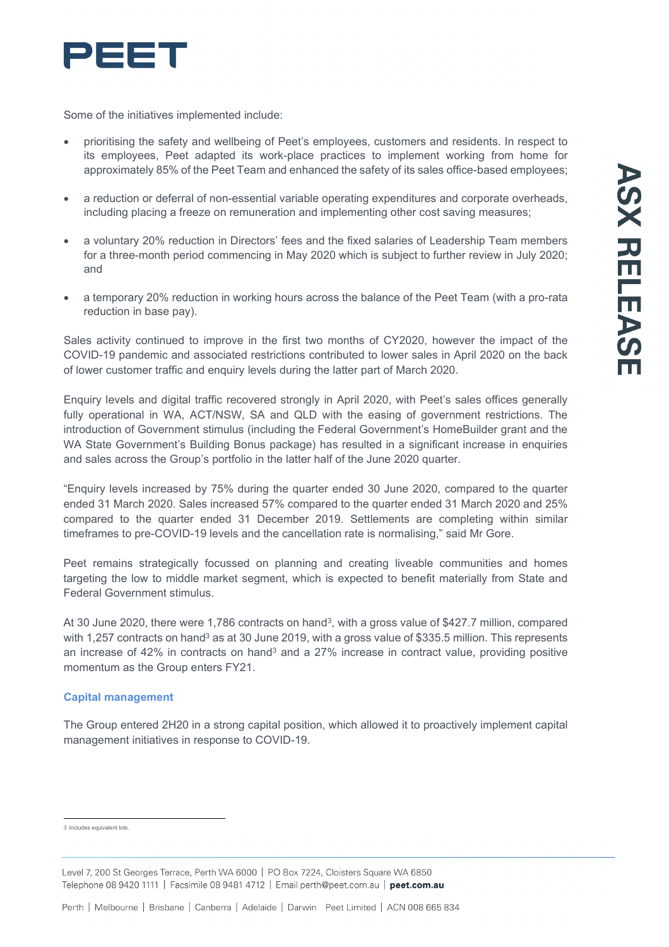

Some of the initiatives implemented include:

- prioritising the safety and wellbeing of Peet's employees, customers and residents. In respect to its employees, Peet adapted its work-place practices to implement working from home for approximately 85% of the Peet Team and enhanced the safety of its sales office-based employees;
- a reduction or deferral of non-essential variable operating expenditures and corporate overheads, including placing a freeze on remuneration and implementing other cost saving measures;
- a voluntary 20% reduction in Directors' fees and the fixed salaries of Leadership Team members for a three-month period commencing in May 2020 which is subject to further review in July 2020; and
- a temporary 20% reduction in working hours across the balance of the Peet Team (with a pro-rata reduction in base pay).

Sales activity continued to improve in the first two months of CY2020, however the impact of the COVID-19 pandemic and associated restrictions contributed to lower sales in April 2020 on the back of lower customer traffic and enquiry levels during the latter part of March 2020.

Enquiry levels and digital traffic recovered strongly in April 2020, with Peet's sales offices generally fully operational in WA, ACT/NSW, SA and QLD with the easing of government restrictions. The introduction of Government stimulus (including the Federal Government's HomeBuilder grant and the WA State Government's Building Bonus package) has resulted in a significant increase in enquiries and sales across the Group's portfolio in the latter half of the June 2020 quarter.

"Enquiry levels increased by 75% during the quarter ended 30 June 2020, compared to the quarter ended 31 March 2020. Sales increased 57% compared to the quarter ended 31 March 2020 and 25% compared to the quarter ended 31 December 2019. Settlements are completing within similar timeframes to pre-COVID-19 levels and the cancellation rate is normalising," said Mr Gore.

Peet remains strategically focussed on planning and creating liveable communities and homes targeting the low to middle market segment, which is expected to benefit materially from State and Federal Government stimulus.

At 30 June 2020, there were 1,786 contracts on hand<sup>3</sup>, with a gross value of \$427.7 million, compared with 1,257 contracts on hand<sup>3</sup> as at 30 June 2019, with a gross value of \$335.5 million. This represents an increase of 42% in contracts on hand<sup>3</sup> and a 27% increase in contract value, providing positive momentum as the Group enters FY21.

#### **Capital management**

The Group entered 2H20 in a strong capital position, which allowed it to proactively implement capital management initiatives in response to COVID-19.

3 Includes equivalent lots.

Level 7, 200 St Georges Terrace, Perth WA 6000 | PO Box 7224, Cloisters Square WA 6850 Telephone 08 9420 1111 | Facsimile 08 9481 4712 | Email perth@peet.com.au | peet.com.au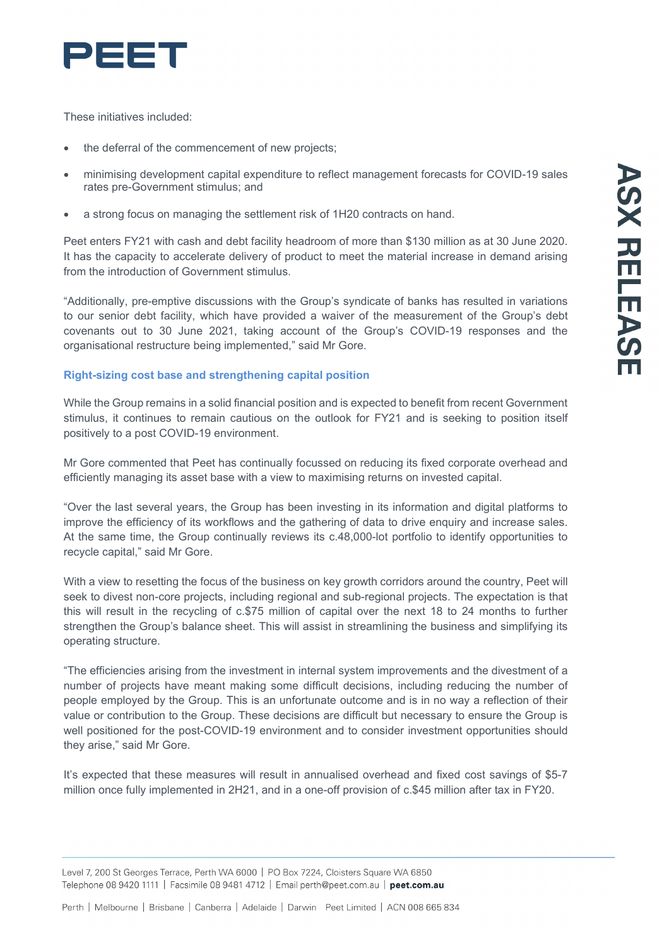

These initiatives included:

- the deferral of the commencement of new projects;
- minimising development capital expenditure to reflect management forecasts for COVID-19 sales rates pre-Government stimulus; and
- a strong focus on managing the settlement risk of 1H20 contracts on hand.

Peet enters FY21 with cash and debt facility headroom of more than \$130 million as at 30 June 2020. It has the capacity to accelerate delivery of product to meet the material increase in demand arising from the introduction of Government stimulus.

"Additionally, pre-emptive discussions with the Group's syndicate of banks has resulted in variations to our senior debt facility, which have provided a waiver of the measurement of the Group's debt covenants out to 30 June 2021, taking account of the Group's COVID-19 responses and the organisational restructure being implemented," said Mr Gore.

## **Right-sizing cost base and strengthening capital position**

While the Group remains in a solid financial position and is expected to benefit from recent Government stimulus, it continues to remain cautious on the outlook for FY21 and is seeking to position itself positively to a post COVID-19 environment.

Mr Gore commented that Peet has continually focussed on reducing its fixed corporate overhead and efficiently managing its asset base with a view to maximising returns on invested capital.

"Over the last several years, the Group has been investing in its information and digital platforms to improve the efficiency of its workflows and the gathering of data to drive enquiry and increase sales. At the same time, the Group continually reviews its c.48,000-lot portfolio to identify opportunities to recycle capital," said Mr Gore.

With a view to resetting the focus of the business on key growth corridors around the country, Peet will seek to divest non-core projects, including regional and sub-regional projects. The expectation is that this will result in the recycling of c.\$75 million of capital over the next 18 to 24 months to further strengthen the Group's balance sheet. This will assist in streamlining the business and simplifying its operating structure.

"The efficiencies arising from the investment in internal system improvements and the divestment of a number of projects have meant making some difficult decisions, including reducing the number of people employed by the Group. This is an unfortunate outcome and is in no way a reflection of their value or contribution to the Group. These decisions are difficult but necessary to ensure the Group is well positioned for the post-COVID-19 environment and to consider investment opportunities should they arise," said Mr Gore.

It's expected that these measures will result in annualised overhead and fixed cost savings of \$5-7 million once fully implemented in 2H21, and in a one-off provision of c.\$45 million after tax in FY20.

Level 7, 200 St Georges Terrace, Perth WA 6000 | PO Box 7224, Cloisters Square WA 6850 Telephone 08 9420 1111 | Facsimile 08 9481 4712 | Email perth@peet.com.au | peet.com.au